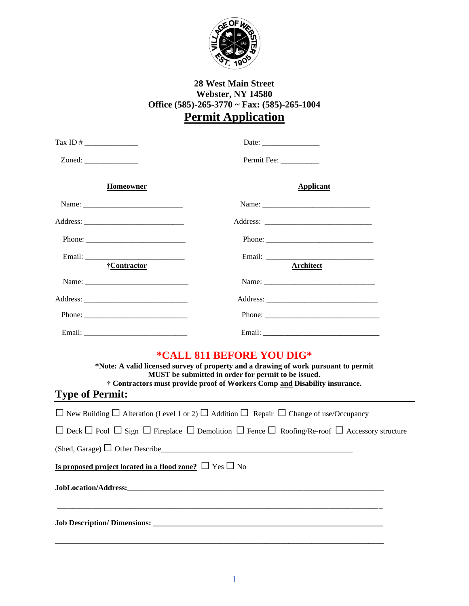

# **28 West Main Street Webster, NY 14580 Office (585)-265-3770 ~ Fax: (585)-265-1004 Permit Application**

| <b>Homeowner</b>                                                                                                                      |                                                                                                                                                                                                                                                       | <b>Applicant</b> |  |
|---------------------------------------------------------------------------------------------------------------------------------------|-------------------------------------------------------------------------------------------------------------------------------------------------------------------------------------------------------------------------------------------------------|------------------|--|
|                                                                                                                                       |                                                                                                                                                                                                                                                       |                  |  |
|                                                                                                                                       |                                                                                                                                                                                                                                                       |                  |  |
|                                                                                                                                       |                                                                                                                                                                                                                                                       |                  |  |
| Email: <u>{Contractor}</u>                                                                                                            |                                                                                                                                                                                                                                                       |                  |  |
|                                                                                                                                       |                                                                                                                                                                                                                                                       |                  |  |
|                                                                                                                                       |                                                                                                                                                                                                                                                       |                  |  |
|                                                                                                                                       |                                                                                                                                                                                                                                                       |                  |  |
|                                                                                                                                       |                                                                                                                                                                                                                                                       |                  |  |
| <b>Type of Permit:</b>                                                                                                                | *CALL 811 BEFORE YOU DIG*<br>*Note: A valid licensed survey of property and a drawing of work pursuant to permit<br>MUST be submitted in order for permit to be issued.<br>† Contractors must provide proof of Workers Comp and Disability insurance. |                  |  |
| $\Box$ New Building $\Box$ Alteration (Level 1 or 2) $\Box$ Addition $\Box$ Repair $\Box$ Change of use/Occupancy                     |                                                                                                                                                                                                                                                       |                  |  |
| $\Box$ Deck $\Box$ Pool $\Box$ Sign $\Box$ Fireplace $\Box$ Demolition $\Box$ Fence $\Box$ Roofing/Re-roof $\Box$ Accessory structure |                                                                                                                                                                                                                                                       |                  |  |
| (Shed, Garage) $\Box$ Other Describe                                                                                                  |                                                                                                                                                                                                                                                       |                  |  |
| <b>Is proposed project located in a flood zone?</b> $\Box$ Yes $\Box$ No                                                              |                                                                                                                                                                                                                                                       |                  |  |
|                                                                                                                                       |                                                                                                                                                                                                                                                       |                  |  |
|                                                                                                                                       |                                                                                                                                                                                                                                                       |                  |  |

**\_\_\_\_\_\_\_\_\_\_\_\_\_\_\_\_\_\_\_\_\_\_\_\_\_\_\_\_\_\_\_\_\_\_\_\_\_\_\_\_\_\_\_\_\_\_\_\_\_\_\_\_\_\_\_\_\_\_\_\_\_\_\_\_\_\_\_\_\_\_\_\_\_\_\_\_\_\_\_\_\_\_\_\_\_\_**